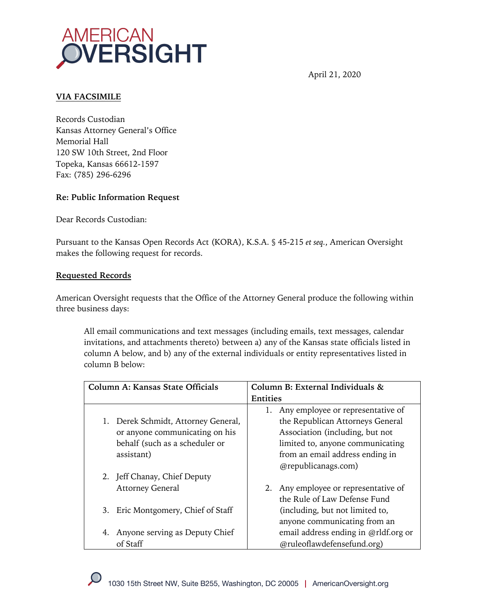

April 21, 2020

## **VIA FACSIMILE**

Records Custodian Kansas Attorney General's Office Memorial Hall 120 SW 10th Street, 2nd Floor Topeka, Kansas 66612-1597 Fax: (785) 296-6296

## **Re: Public Information Request**

Dear Records Custodian:

Pursuant to the Kansas Open Records Act (KORA), K.S.A. § 45-215 *et seq.*, American Oversight makes the following request for records.

## **Requested Records**

American Oversight requests that the Office of the Attorney General produce the following within three business days:

All email communications and text messages (including emails, text messages, calendar invitations, and attachments thereto) between a) any of the Kansas state officials listed in column A below, and b) any of the external individuals or entity representatives listed in column B below:

| Column A: Kansas State Officials       | Column B: External Individuals &     |  |
|----------------------------------------|--------------------------------------|--|
|                                        | <b>Entities</b>                      |  |
|                                        | Any employee or representative of    |  |
| Derek Schmidt, Attorney General,<br>1. | the Republican Attorneys General     |  |
| or anyone communicating on his         | Association (including, but not      |  |
| behalf (such as a scheduler or         | limited to, anyone communicating     |  |
| assistant)                             | from an email address ending in      |  |
|                                        | @republicanags.com)                  |  |
| 2. Jeff Chanay, Chief Deputy           |                                      |  |
| <b>Attorney General</b>                | 2. Any employee or representative of |  |
|                                        | the Rule of Law Defense Fund         |  |
| Eric Montgomery, Chief of Staff<br>3.  | (including, but not limited to,      |  |
|                                        | anyone communicating from an         |  |
| Anyone serving as Deputy Chief<br>4.   | email address ending in @rldf.org or |  |
| of Staff                               | @ruleoflawdefensefund.org)           |  |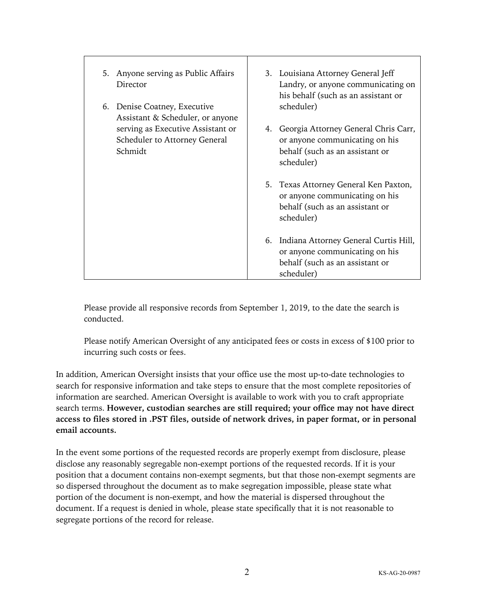| 5. Anyone serving as Public Affairs<br>Director<br>6. Denise Coatney, Executive<br>Assistant & Scheduler, or anyone |    | 3. Louisiana Attorney General Jeff<br>Landry, or anyone communicating on<br>his behalf (such as an assistant or<br>scheduler) |
|---------------------------------------------------------------------------------------------------------------------|----|-------------------------------------------------------------------------------------------------------------------------------|
| serving as Executive Assistant or<br>Scheduler to Attorney General<br>Schmidt                                       | 4. | Georgia Attorney General Chris Carr,<br>or anyone communicating on his<br>behalf (such as an assistant or<br>scheduler)       |
|                                                                                                                     |    | 5. Texas Attorney General Ken Paxton,<br>or anyone communicating on his<br>behalf (such as an assistant or<br>scheduler)      |
|                                                                                                                     |    | 6. Indiana Attorney General Curtis Hill,<br>or anyone communicating on his<br>behalf (such as an assistant or<br>scheduler)   |

Please provide all responsive records from September 1, 2019, to the date the search is conducted.

Please notify American Oversight of any anticipated fees or costs in excess of \$100 prior to incurring such costs or fees.

In addition, American Oversight insists that your office use the most up-to-date technologies to search for responsive information and take steps to ensure that the most complete repositories of information are searched. American Oversight is available to work with you to craft appropriate search terms. **However, custodian searches are still required; your office may not have direct access to files stored in .PST files, outside of network drives, in paper format, or in personal email accounts.**

In the event some portions of the requested records are properly exempt from disclosure, please disclose any reasonably segregable non-exempt portions of the requested records. If it is your position that a document contains non-exempt segments, but that those non-exempt segments are so dispersed throughout the document as to make segregation impossible, please state what portion of the document is non-exempt, and how the material is dispersed throughout the document. If a request is denied in whole, please state specifically that it is not reasonable to segregate portions of the record for release.